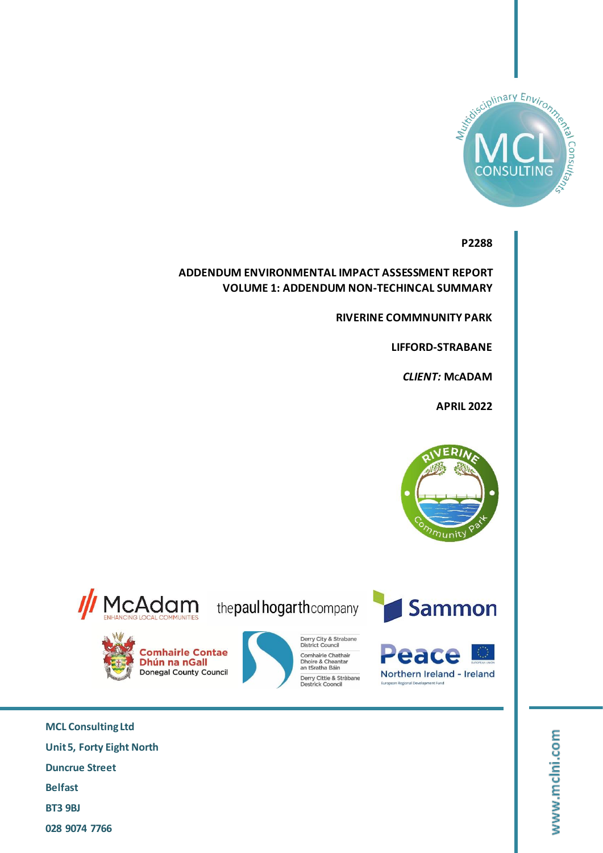

**P2288**

**ADDENDUM ENVIRONMENTAL IMPACT ASSESSMENT REPORT VOLUME 1: ADDENDUM NON-TECHINCAL SUMMARY**

**RIVERINE COMMNUNITY PARK**

**LIFFORD-STRABANE**

 $CLIENT: MCADAM$ 

**APRIL 2022**



// McAdam

**Comhairle Contae** 

**Donegal County Council** 

Dhún na nGall

the paul hogarth company

Derry City & Strabane<br>District Council

Derry Cittie & Stràbane<br>Destrick Cooncil

Comhairle Chathair

Dhoire & Cheantar<br>an tSratha Báin





**MCL Consulting Ltd Unit 5, Forty Eight North Duncrue Street Belfast BT3 9BJ 028 9074 7766**

www.mclni.com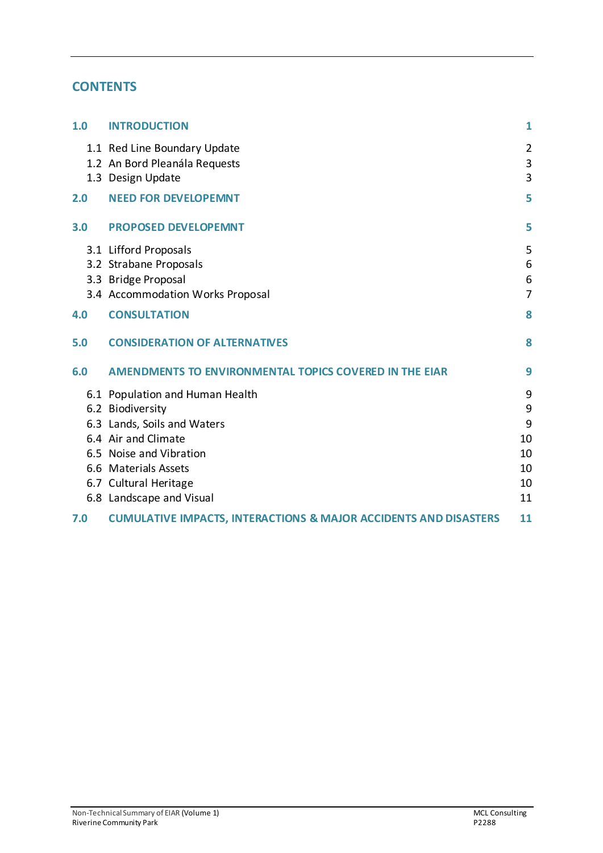## **CONTENTS**

| 1.0 | <b>INTRODUCTION</b>                                                                                                                                                                                               | 1                                         |
|-----|-------------------------------------------------------------------------------------------------------------------------------------------------------------------------------------------------------------------|-------------------------------------------|
|     | 1.1 Red Line Boundary Update<br>1.2 An Bord Pleanála Requests<br>1.3 Design Update                                                                                                                                | $\overline{2}$<br>$\mathbf{3}$<br>3       |
| 2.0 | <b>NEED FOR DEVELOPEMNT</b>                                                                                                                                                                                       | 5                                         |
| 3.0 | <b>PROPOSED DEVELOPEMNT</b>                                                                                                                                                                                       | 5                                         |
|     | 3.1 Lifford Proposals<br>3.2 Strabane Proposals<br>3.3 Bridge Proposal<br>3.4 Accommodation Works Proposal                                                                                                        | 5<br>6<br>6<br>$\overline{7}$             |
| 4.0 | <b>CONSULTATION</b>                                                                                                                                                                                               | 8                                         |
| 5.0 | <b>CONSIDERATION OF ALTERNATIVES</b>                                                                                                                                                                              | 8                                         |
| 6.0 | <b>AMENDMENTS TO ENVIRONMENTAL TOPICS COVERED IN THE EIAR</b>                                                                                                                                                     | 9                                         |
|     | 6.1 Population and Human Health<br>6.2 Biodiversity<br>6.3 Lands, Soils and Waters<br>6.4 Air and Climate<br>6.5 Noise and Vibration<br>6.6 Materials Assets<br>6.7 Cultural Heritage<br>6.8 Landscape and Visual | 9<br>9<br>9<br>10<br>10<br>10<br>10<br>11 |
| 7.0 | <b>CUMULATIVE IMPACTS, INTERACTIONS &amp; MAJOR ACCIDENTS AND DISASTERS</b>                                                                                                                                       | 11                                        |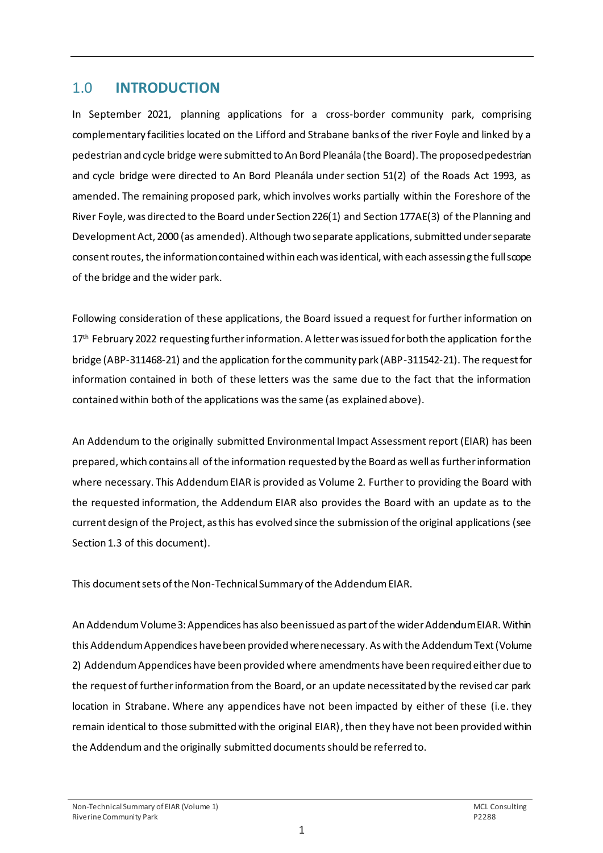### <span id="page-2-0"></span>1.0 **INTRODUCTION**

In September 2021, planning applications for a cross-border community park, comprising complementary facilities located on the Lifford and Strabane banks of the river Foyle and linked by a pedestrian and cycle bridge were submitted to An Bord Pleanála (the Board). The proposed pedestrian and cycle bridge were directed to An Bord Pleanála under section 51(2) of the Roads Act 1993, as amended. The remaining proposed park, which involves works partially within the Foreshore of the River Foyle, was directed to the Board under Section 226(1) and Section 177AE(3) of the Planning and Development Act, 2000 (as amended). Although two separate applications, submitted under separate consent routes, the information contained within each was identical, with each assessing the full scope of the bridge and the wider park.

Following consideration of these applications, the Board issued a request for further information on 17<sup>th</sup> February 2022 requesting further information. A letter was issued for both the application for the bridge (ABP-311468-21) and the application for the community park (ABP-311542-21). The request for information contained in both of these letters was the same due to the fact that the information contained within both of the applications was the same (as explained above).

An Addendum to the originally submitted Environmental Impact Assessment report (EIAR) has been prepared, which contains all of the information requested by the Board as well as further information where necessary. This Addendum EIAR is provided as Volume 2. Further to providing the Board with the requested information, the Addendum EIAR also provides the Board with an update as to the current design of the Project, as this has evolved since the submission of the original applications (see Section 1.3 of this document).

This document sets of the Non-Technical Summary of the Addendum EIAR.

An Addendum Volume 3: Appendices has also been issued as part of the wider Addendum EIAR. Within this Addendum Appendices have been provided where necessary. As with the Addendum Text (Volume 2) Addendum Appendices have been provided where amendments have been required either due to the request of further information from the Board, or an update necessitated by the revised car park location in Strabane. Where any appendices have not been impacted by either of these (i.e. they remain identical to those submitted with the original EIAR), then they have not been provided within the Addendumand the originally submitted documents should be referred to.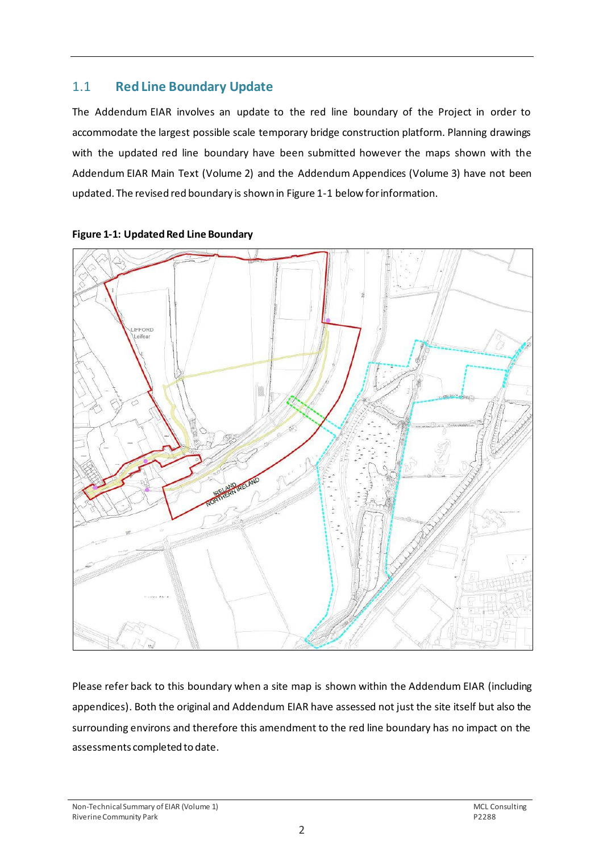### <span id="page-3-0"></span>1.1 **Red Line Boundary Update**

The Addendum EIAR involves an update to the red line boundary of the Project in order to accommodate the largest possible scale temporary bridge construction platform. Planning drawings with the updated red line boundary have been submitted however the maps shown with the Addendum EIAR Main Text (Volume 2) and the Addendum Appendices (Volume 3) have not been updated. The revised red boundary is shown in Figure 1-1 below for information.



**Figure 1-1: Updated Red Line Boundary** 

Please refer back to this boundary when a site map is shown within the Addendum EIAR (including appendices). Both the original and Addendum EIAR have assessed not just the site itself but also the surrounding environs and therefore this amendment to the red line boundary has no impact on the assessments completed to date.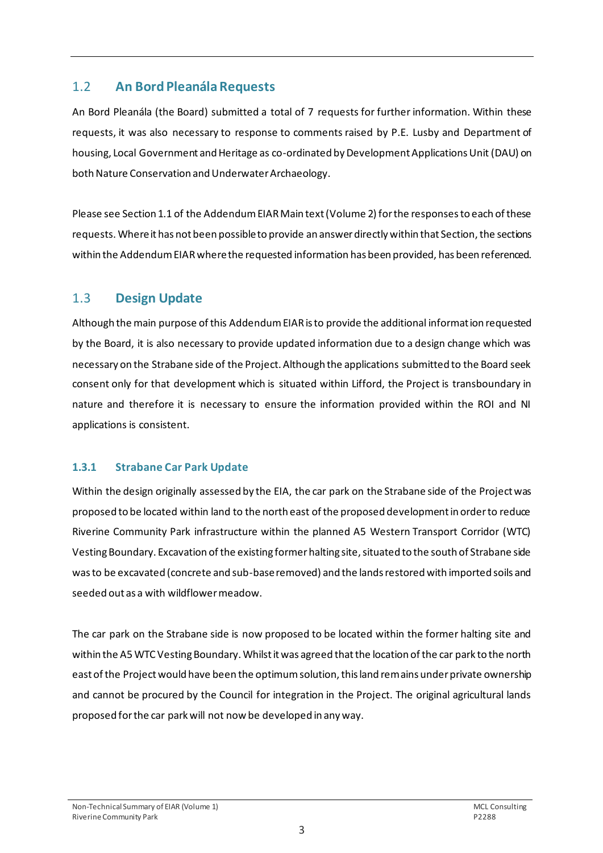### <span id="page-4-0"></span>1.2 **An Bord Pleanála Requests**

An Bord Pleanála (the Board) submitted a total of 7 requests for further information. Within these requests, it was also necessary to response to comments raised by P.E. Lusby and Department of housing, Local Government and Heritage as co-ordinated by Development Applications Unit (DAU) on both Nature Conservation and Underwater Archaeology.

Please see Section 1.1 of the Addendum EIAR Main text (Volume 2) for the responses to each of these requests. Where it has not been possible to provide an answer directly within that Section, the sections within the Addendum EIARwhere the requested information has been provided, has been referenced.

### <span id="page-4-1"></span>1.3 **Design Update**

Although the main purpose of this Addendum EIAR is to provide the additional information requested by the Board, it is also necessary to provide updated information due to a design change which was necessary on the Strabane side of the Project. Although the applications submitted to the Board seek consent only for that development which is situated within Lifford, the Project is transboundary in nature and therefore it is necessary to ensure the information provided within the ROI and NI applications is consistent.

#### **1.3.1 Strabane Car Park Update**

Within the design originally assessed by the EIA, the car park on the Strabane side of the Project was proposed to be located within land to the north east of the proposed development in order to reduce Riverine Community Park infrastructure within the planned A5 Western Transport Corridor (WTC) Vesting Boundary. Excavation of the existing former halting site, situated to the south of Strabane side was to be excavated (concrete and sub-base removed) and the lands restored with imported soils and seeded out as a with wildflower meadow.

The car park on the Strabane side is now proposed to be located within the former halting site and within the A5 WTC Vesting Boundary. Whilst it was agreed that the location of the car park to the north east of the Project would have been the optimum solution, this land remains under private ownership and cannot be procured by the Council for integration in the Project. The original agricultural lands proposed for the car park will not now be developed in any way.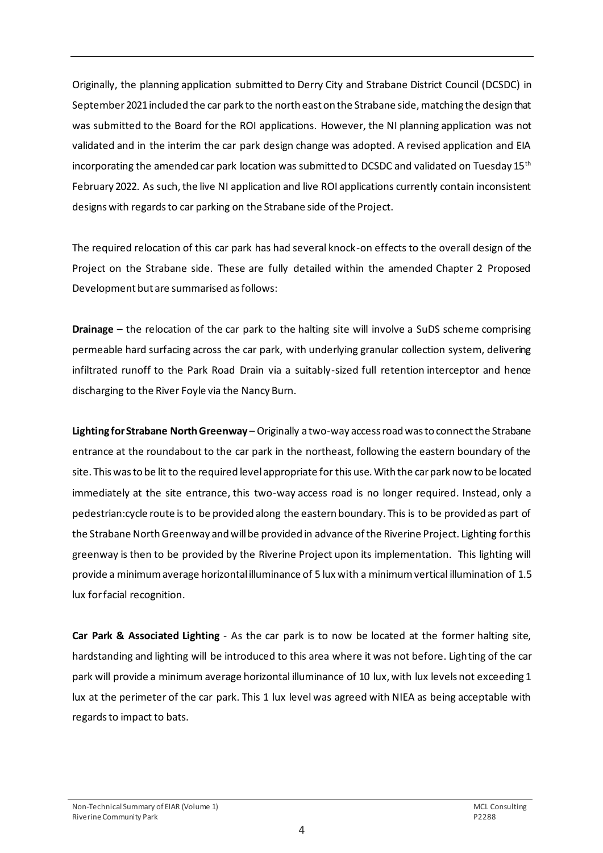Originally, the planning application submitted to Derry City and Strabane District Council (DCSDC) in September 2021 included the car park to the north east on the Strabane side, matching the design that was submitted to the Board for the ROI applications. However, the NI planning application was not validated and in the interim the car park design change was adopted. A revised application and EIA incorporating the amended car park location was submitted to DCSDC and validated on Tuesday 15<sup>th</sup> February 2022. As such, the live NI application and live ROI applications currently contain inconsistent designs with regards to car parking on the Strabane side of the Project.

The required relocation of this car park has had several knock-on effects to the overall design of the Project on the Strabane side. These are fully detailed within the amended Chapter 2 Proposed Development but are summarised as follows:

**Drainage** – the relocation of the car park to the halting site will involve a SuDS scheme comprising permeable hard surfacing across the car park, with underlying granular collection system, delivering infiltrated runoff to the Park Road Drain via a suitably-sized full retention interceptor and hence discharging to the River Foyle via the Nancy Burn.

**Lighting for Strabane North Greenway** – Originally a two-way access road was to connect the Strabane entrance at the roundabout to the car park in the northeast, following the eastern boundary of the site. This was to be lit to the required level appropriate for this use. With the car park now to be located immediately at the site entrance, this two-way access road is no longer required. Instead, only a pedestrian:cycle route is to be provided along the eastern boundary. This is to be provided as part of the Strabane North Greenway and will be provided in advance of the Riverine Project. Lighting for this greenway is then to be provided by the Riverine Project upon its implementation. This lighting will provide a minimum average horizontal illuminance of 5 lux with a minimum vertical illumination of 1.5 lux for facial recognition.

**Car Park & Associated Lighting** - As the car park is to now be located at the former halting site, hardstanding and lighting will be introduced to this area where it was not before. Lighting of the car park will provide a minimum average horizontal illuminance of 10 lux, with lux levels not exceeding 1 lux at the perimeter of the car park. This 1 lux level was agreed with NIEA as being acceptable with regards to impact to bats.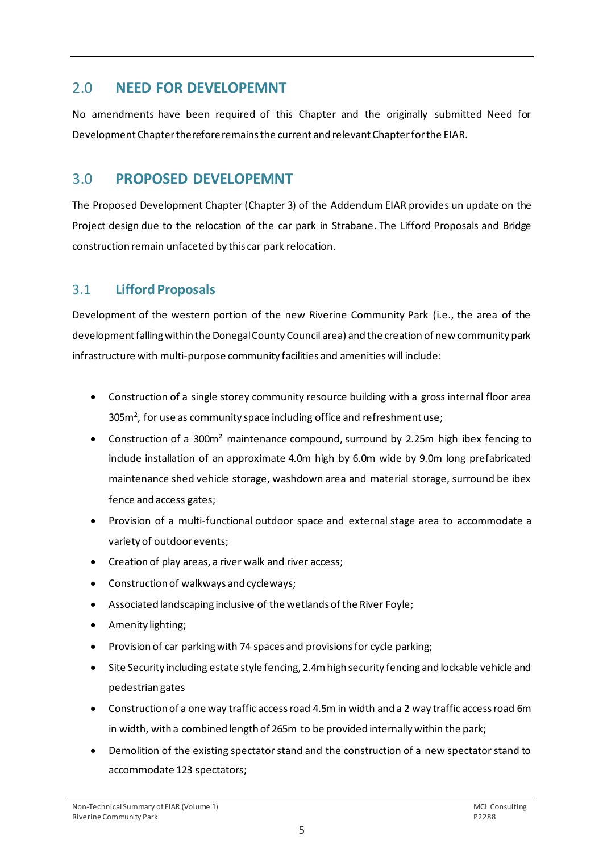## <span id="page-6-0"></span>2.0 **NEED FOR DEVELOPEMNT**

No amendments have been required of this Chapter and the originally submitted Need for Development Chapter therefore remains the current and relevant Chapter for the EIAR.

# <span id="page-6-1"></span>3.0 **PROPOSED DEVELOPEMNT**

The Proposed Development Chapter (Chapter 3) of the Addendum EIAR provides un update on the Project design due to the relocation of the car park in Strabane. The Lifford Proposals and Bridge construction remain unfaceted by this car park relocation.

## <span id="page-6-2"></span>3.1 **Lifford Proposals**

Development of the western portion of the new Riverine Community Park (i.e., the area of the development falling within the Donegal County Council area) and the creation of new community park infrastructure with multi-purpose community facilities and amenities will include:

- Construction of a single storey community resource building with a gross internal floor area 305m², for use as community space including office and refreshment use;
- Construction of a 300m² maintenance compound, surround by 2.25m high ibex fencing to include installation of an approximate 4.0m high by 6.0m wide by 9.0m long prefabricated maintenance shed vehicle storage, washdown area and material storage, surround be ibex fence and access gates;
- Provision of a multi-functional outdoor space and external stage area to accommodate a variety of outdoor events;
- Creation of play areas, a river walk and river access;
- Construction of walkways and cycleways;
- Associated landscaping inclusive of the wetlands of the River Foyle;
- Amenity lighting;
- Provision of car parking with 74 spaces and provisions for cycle parking;
- Site Security including estate style fencing, 2.4m high security fencing and lockable vehicle and pedestrian gates
- Construction of a one way traffic access road 4.5m in width and a 2 way traffic access road 6m in width, with a combined length of 265m to be provided internally within the park;
- Demolition of the existing spectator stand and the construction of a new spectator stand to accommodate 123 spectators;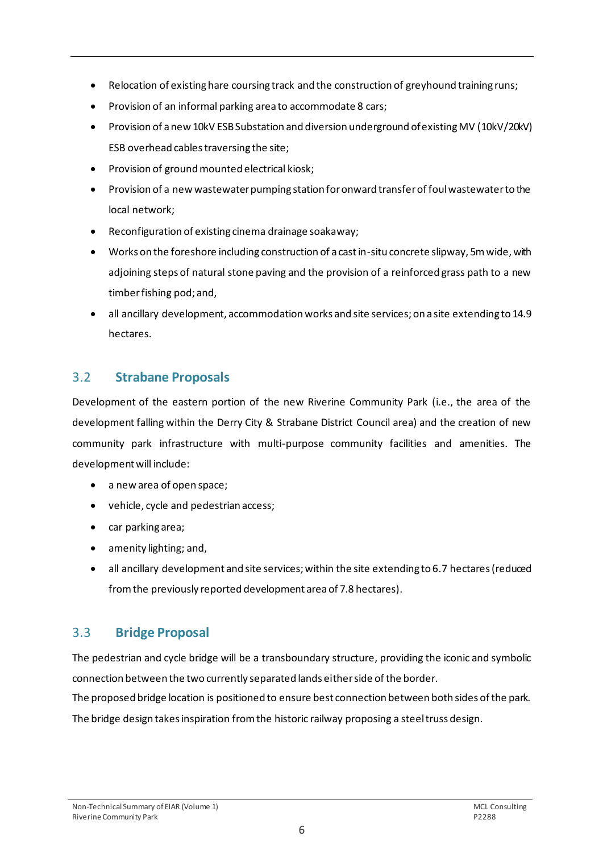- Relocation of existing hare coursing track and the construction of greyhound training runs;
- Provision of an informal parking area to accommodate 8 cars;
- Provision of a new 10kV ESB Substation and diversion underground of existing MV (10kV/20kV) ESB overhead cables traversing the site;
- Provision of ground mounted electrical kiosk;
- Provision of a new wastewater pumping station for onward transfer of foul wastewater to the local network;
- Reconfiguration of existing cinema drainage soakaway;
- Works on the foreshore including construction of a cast in-situ concrete slipway, 5m wide, with adjoining steps of natural stone paving and the provision of a reinforced grass path to a new timber fishing pod; and,
- all ancillary development, accommodation works and site services; on a site extending to 14.9 hectares.

# <span id="page-7-0"></span>3.2 **Strabane Proposals**

Development of the eastern portion of the new Riverine Community Park (i.e., the area of the development falling within the Derry City & Strabane District Council area) and the creation of new community park infrastructure with multi-purpose community facilities and amenities. The development will include:

- a new area of open space;
- vehicle, cycle and pedestrian access;
- car parking area;
- amenity lighting; and,
- all ancillary development and site services; within the site extending to 6.7 hectares (reduced from the previously reported development area of 7.8 hectares).

# <span id="page-7-1"></span>3.3 **Bridge Proposal**

The pedestrian and cycle bridge will be a transboundary structure, providing the iconic and symbolic connection between the two currently separated lands either side of the border.

The proposed bridge location is positioned to ensure best connection between both sides of the park. The bridge design takes inspiration from the historic railway proposing a steel truss design.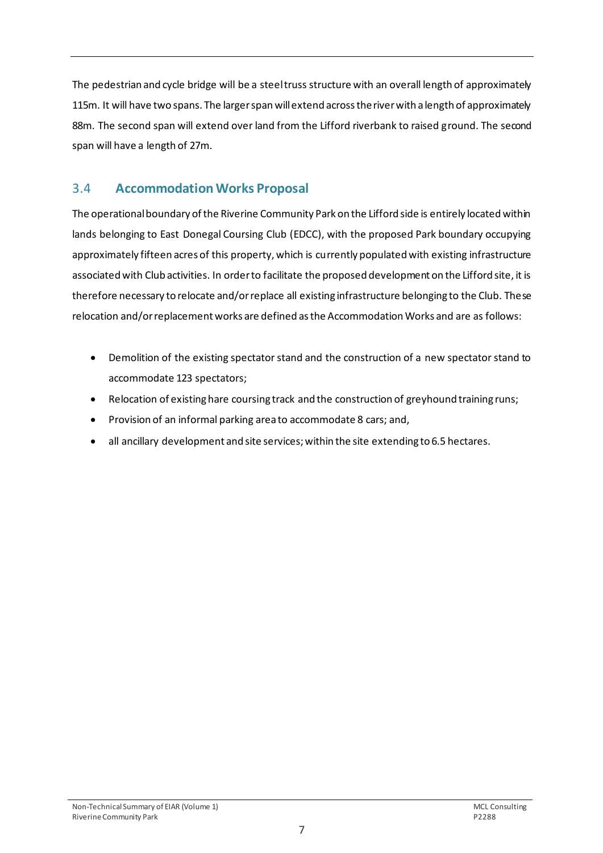The pedestrian and cycle bridge will be a steel truss structure with an overall length of approximately 115m. It will have two spans. The larger span will extend across the river with a length of approximately 88m. The second span will extend over land from the Lifford riverbank to raised ground. The second span will have a length of 27m.

# <span id="page-8-0"></span>3.4 **Accommodation Works Proposal**

The operational boundary of the Riverine Community Park on the Lifford side is entirely located within lands belonging to East Donegal Coursing Club (EDCC), with the proposed Park boundary occupying approximately fifteen acres of this property, which is currently populated with existing infrastructure associated with Club activities. In order to facilitate the proposed development on the Lifford site, it is therefore necessary to relocate and/or replace all existing infrastructure belonging to the Club. These relocation and/or replacement works are defined as the Accommodation Works and are as follows:

- Demolition of the existing spectator stand and the construction of a new spectator stand to accommodate 123 spectators;
- Relocation of existing hare coursing track and the construction of greyhound training runs;
- Provision of an informal parking area to accommodate 8 cars; and,
- all ancillary development and site services; within the site extending to 6.5 hectares.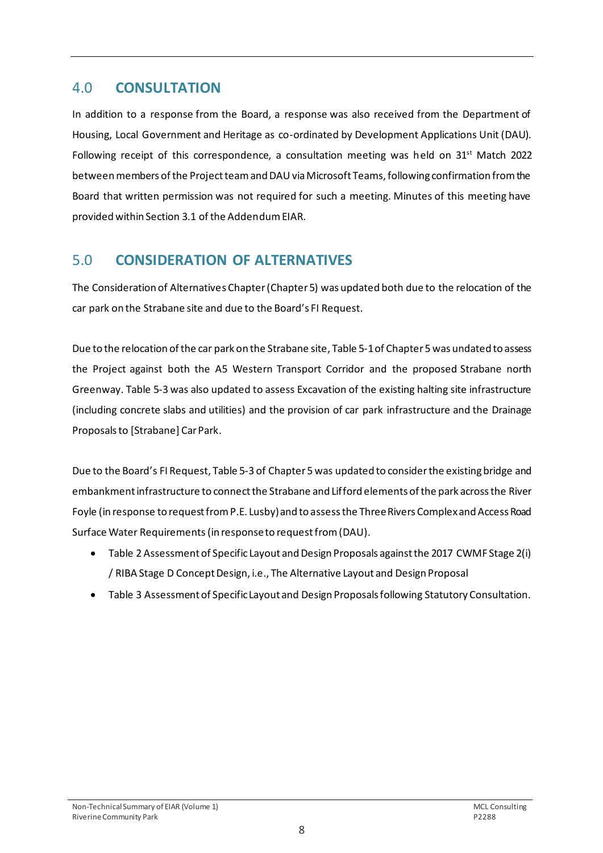### <span id="page-9-0"></span>4.0 **CONSULTATION**

In addition to a response from the Board, a response was also received from the Department of Housing, Local Government and Heritage as co-ordinated by Development Applications Unit (DAU). Following receipt of this correspondence, a consultation meeting was held on  $31^{st}$  Match 2022 between members of the Project team and DAU via Microsoft Teams, following confirmation from the Board that written permission was not required for such a meeting. Minutes of this meeting have provided within Section 3.1 of the Addendum EIAR.

## <span id="page-9-1"></span>5.0 **CONSIDERATION OF ALTERNATIVES**

The Consideration of Alternatives Chapter (Chapter 5) was updated both due to the relocation of the car park on the Strabane site and due to the Board's FI Request.

Due to the relocation of the car park on the Strabane site, Table 5-1 of Chapter 5 was undated to assess the Project against both the A5 Western Transport Corridor and the proposed Strabane north Greenway. Table 5-3 was also updated to assess Excavation of the existing halting site infrastructure (including concrete slabs and utilities) and the provision of car park infrastructure and the Drainage Proposals to [Strabane] Car Park.

Due to the Board's FI Request, Table 5-3 of Chapter5 was updated to considerthe existing bridge and embankment infrastructure to connect the Strabane and Lifford elements of the park across the River Foyle (in response to request from P.E. Lusby) and to assessthe Three Rivers Complex and Access Road Surface Water Requirements (in response to request from (DAU).

- Table 2 Assessment of Specific Layout and Design Proposals against the 2017 CWMF Stage 2(i) / RIBA Stage D Concept Design, i.e., The Alternative Layout and Design Proposal
- Table 3 Assessment of Specific Layout and Design Proposals following Statutory Consultation.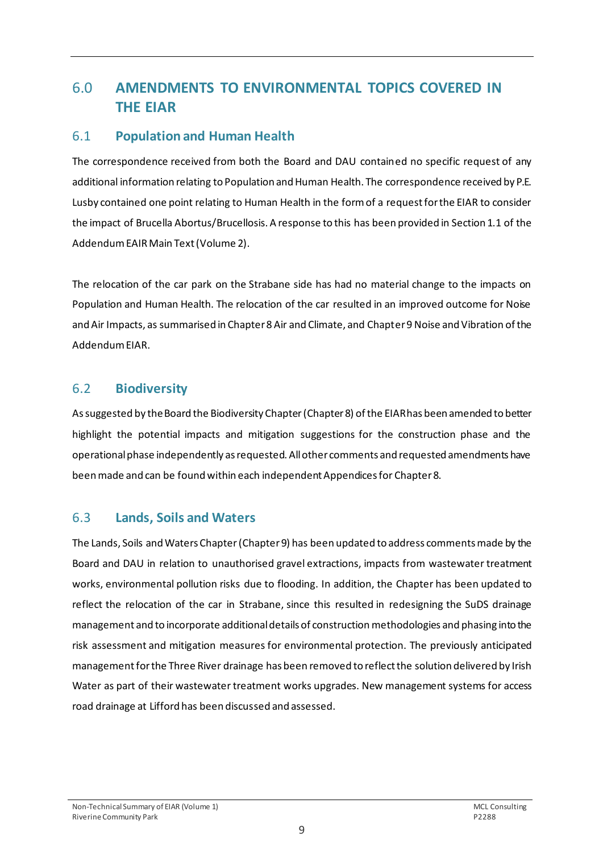# <span id="page-10-0"></span>6.0 **AMENDMENTS TO ENVIRONMENTAL TOPICS COVERED IN THE EIAR**

#### <span id="page-10-1"></span>6.1 **Population and Human Health**

The correspondence received from both the Board and DAU contained no specific request of any additional information relating to Population and Human Health. The correspondence received by P.E. Lusby contained one point relating to Human Health in the form of a request for the EIAR to consider the impact of Brucella Abortus/Brucellosis. A response to this has been provided in Section 1.1 of the AddendumEAIR Main Text (Volume 2).

The relocation of the car park on the Strabane side has had no material change to the impacts on Population and Human Health. The relocation of the car resulted in an improved outcome for Noise and Air Impacts, as summarised in Chapter 8 Air and Climate, and Chapter 9 Noise and Vibration of the Addendum EIAR.

#### <span id="page-10-2"></span>6.2 **Biodiversity**

As suggested by the Board the Biodiversity Chapter (Chapter 8) of the EIAR has been amended to better highlight the potential impacts and mitigation suggestions for the construction phase and the operational phase independently as requested. All other comments and requested amendments have been made and can be found within each independent Appendices for Chapter8.

#### <span id="page-10-3"></span>6.3 **Lands, Soils and Waters**

The Lands, Soils and Waters Chapter (Chapter9) has been updated to address comments made by the Board and DAU in relation to unauthorised gravel extractions, impacts from wastewater treatment works, environmental pollution risks due to flooding. In addition, the Chapter has been updated to reflect the relocation of the car in Strabane, since this resulted in redesigning the SuDS drainage management and to incorporate additionaldetails of construction methodologies and phasing into the risk assessment and mitigation measures for environmental protection. The previously anticipated managementfor the Three River drainage has been removed to reflect the solution delivered by Irish Water as part of their wastewater treatment works upgrades. New management systems for access road drainage at Lifford has been discussed and assessed.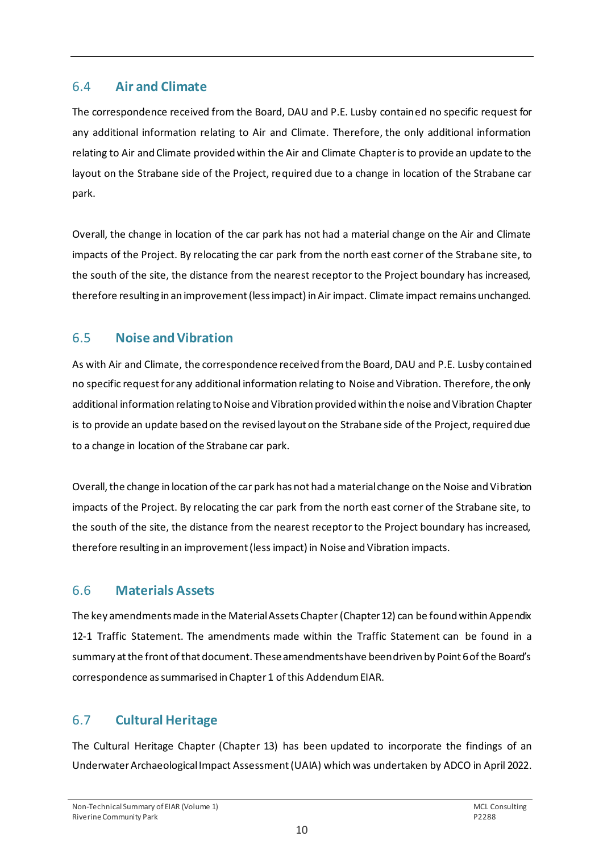#### <span id="page-11-0"></span>6.4 **Air and Climate**

The correspondence received from the Board, DAU and P.E. Lusby contained no specific request for any additional information relating to Air and Climate. Therefore, the only additional information relating to Air and Climate provided within the Air and Climate Chapter is to provide an update to the layout on the Strabane side of the Project, required due to a change in location of the Strabane car park.

Overall, the change in location of the car park has not had a material change on the Air and Climate impacts of the Project. By relocating the car park from the north east corner of the Strabane site, to the south of the site, the distance from the nearest receptor to the Project boundary has increased, therefore resulting in an improvement (less impact) in Air impact. Climate impact remains unchanged.

#### <span id="page-11-1"></span>6.5 **Noise and Vibration**

As with Air and Climate, the correspondence received from the Board, DAU and P.E. Lusby contained no specific request for any additional information relating to Noise and Vibration. Therefore, the only additional information relating to Noise and Vibration provided within the noise and Vibration Chapter is to provide an update based on the revised layout on the Strabane side of the Project, required due to a change in location of the Strabane car park.

Overall, the change in location of the car park has not had a material change on the Noise and Vibration impacts of the Project. By relocating the car park from the north east corner of the Strabane site, to the south of the site, the distance from the nearest receptor to the Project boundary has increased, therefore resulting in an improvement (less impact) in Noise and Vibration impacts.

### <span id="page-11-2"></span>6.6 **Materials Assets**

The key amendments made in the Material Assets Chapter(Chapter 12) can be found within Appendix 12-1 Traffic Statement. The amendments made within the Traffic Statement can be found in a summary at the front of that document. These amendments have been driven by Point 6 of the Board's correspondence as summarised in Chapter 1 of this Addendum EIAR.

### <span id="page-11-3"></span>6.7 **Cultural Heritage**

The Cultural Heritage Chapter (Chapter 13) has been updated to incorporate the findings of an Underwater Archaeological Impact Assessment (UAIA) which was undertaken by ADCO in April 2022.